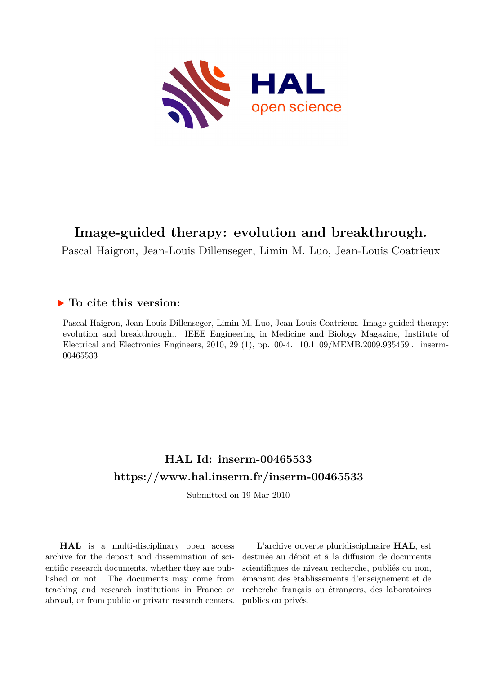

# **Image-guided therapy: evolution and breakthrough.**

Pascal Haigron, Jean-Louis Dillenseger, Limin M. Luo, Jean-Louis Coatrieux

# **To cite this version:**

Pascal Haigron, Jean-Louis Dillenseger, Limin M. Luo, Jean-Louis Coatrieux. Image-guided therapy: evolution and breakthrough.. IEEE Engineering in Medicine and Biology Magazine, Institute of Electrical and Electronics Engineers, 2010, 29 (1), pp.100-4.  $10.1109/MEMB.2009.935459$ . inserm-00465533

# **HAL Id: inserm-00465533 <https://www.hal.inserm.fr/inserm-00465533>**

Submitted on 19 Mar 2010

**HAL** is a multi-disciplinary open access archive for the deposit and dissemination of scientific research documents, whether they are published or not. The documents may come from teaching and research institutions in France or abroad, or from public or private research centers.

L'archive ouverte pluridisciplinaire **HAL**, est destinée au dépôt et à la diffusion de documents scientifiques de niveau recherche, publiés ou non, émanant des établissements d'enseignement et de recherche français ou étrangers, des laboratoires publics ou privés.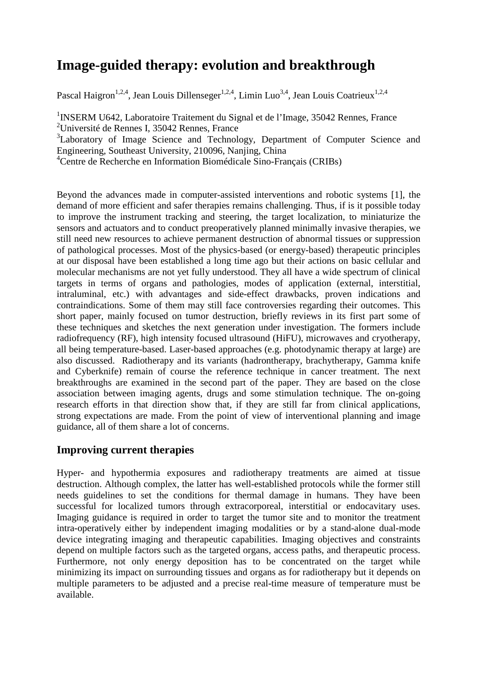# **Image-guided therapy: evolution and breakthrough**

Pascal Haigron<sup>1,2,4</sup>, Jean Louis Dillenseger<sup>1,2,4</sup>, Limin Luo<sup>3,4</sup>, Jean Louis Coatrieux<sup>1,2,4</sup>

<sup>1</sup>INSERM U642, Laboratoire Traitement du Signal et de l'Image, 35042 Rennes, France <sup>2</sup>Université de Rennes I, 35042 Rennes, France

<sup>3</sup>Laboratory of Image Science and Technology, Department of Computer Science and Engineering, Southeast University, 210096, Nanjing, China

<sup>4</sup>Centre de Recherche en Information Biomédicale Sino-Français (CRIBs)

Beyond the advances made in computer-assisted interventions and robotic systems [1], the demand of more efficient and safer therapies remains challenging. Thus, if is it possible today to improve the instrument tracking and steering, the target localization, to miniaturize the sensors and actuators and to conduct preoperatively planned minimally invasive therapies, we still need new resources to achieve permanent destruction of abnormal tissues or suppression of pathological processes. Most of the physics-based (or energy-based) therapeutic principles at our disposal have been established a long time ago but their actions on basic cellular and molecular mechanisms are not yet fully understood. They all have a wide spectrum of clinical targets in terms of organs and pathologies, modes of application (external, interstitial, intraluminal, etc.) with advantages and side-effect drawbacks, proven indications and contraindications. Some of them may still face controversies regarding their outcomes. This short paper, mainly focused on tumor destruction, briefly reviews in its first part some of these techniques and sketches the next generation under investigation. The formers include radiofrequency (RF), high intensity focused ultrasound (HiFU), microwaves and cryotherapy, all being temperature-based. Laser-based approaches (e.g. photodynamic therapy at large) are also discussed. Radiotherapy and its variants (hadrontherapy, brachytherapy, Gamma knife and Cyberknife) remain of course the reference technique in cancer treatment. The next breakthroughs are examined in the second part of the paper. They are based on the close association between imaging agents, drugs and some stimulation technique. The on-going research efforts in that direction show that, if they are still far from clinical applications, strong expectations are made. From the point of view of interventional planning and image guidance, all of them share a lot of concerns.

# **Improving current therapies**

Hyper- and hypothermia exposures and radiotherapy treatments are aimed at tissue destruction. Although complex, the latter has well-established protocols while the former still needs guidelines to set the conditions for thermal damage in humans. They have been successful for localized tumors through extracorporeal, interstitial or endocavitary uses. Imaging guidance is required in order to target the tumor site and to monitor the treatment intra-operatively either by independent imaging modalities or by a stand-alone dual-mode device integrating imaging and therapeutic capabilities. Imaging objectives and constraints depend on multiple factors such as the targeted organs, access paths, and therapeutic process. Furthermore, not only energy deposition has to be concentrated on the target while minimizing its impact on surrounding tissues and organs as for radiotherapy but it depends on multiple parameters to be adjusted and a precise real-time measure of temperature must be available.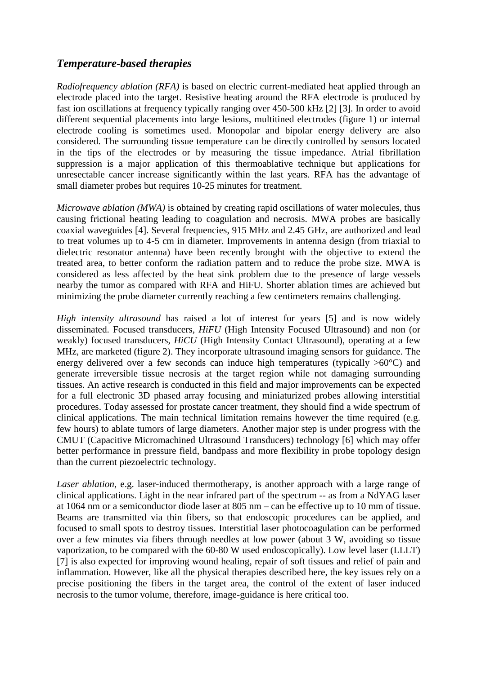#### *Temperature-based therapies*

*Radiofrequency ablation (RFA)* is based on electric current-mediated heat applied through an electrode placed into the target. Resistive heating around the RFA electrode is produced by fast ion oscillations at frequency typically ranging over 450-500 kHz [2] [3]. In order to avoid different sequential placements into large lesions, multitined electrodes (figure 1) or internal electrode cooling is sometimes used. Monopolar and bipolar energy delivery are also considered. The surrounding tissue temperature can be directly controlled by sensors located in the tips of the electrodes or by measuring the tissue impedance. Atrial fibrillation suppression is a major application of this thermoablative technique but applications for unresectable cancer increase significantly within the last years. RFA has the advantage of small diameter probes but requires 10-25 minutes for treatment.

*Microwave ablation (MWA)* is obtained by creating rapid oscillations of water molecules, thus causing frictional heating leading to coagulation and necrosis. MWA probes are basically coaxial waveguides [4]. Several frequencies, 915 MHz and 2.45 GHz, are authorized and lead to treat volumes up to 4-5 cm in diameter. Improvements in antenna design (from triaxial to dielectric resonator antenna) have been recently brought with the objective to extend the treated area, to better conform the radiation pattern and to reduce the probe size. MWA is considered as less affected by the heat sink problem due to the presence of large vessels nearby the tumor as compared with RFA and HiFU. Shorter ablation times are achieved but minimizing the probe diameter currently reaching a few centimeters remains challenging.

*High intensity ultrasound* has raised a lot of interest for years [5] and is now widely disseminated. Focused transducers, *HiFU* (High Intensity Focused Ultrasound) and non (or weakly) focused transducers, *HiCU* (High Intensity Contact Ultrasound), operating at a few MHz, are marketed (figure 2). They incorporate ultrasound imaging sensors for guidance. The energy delivered over a few seconds can induce high temperatures (typically  $>60^{\circ}$ C) and generate irreversible tissue necrosis at the target region while not damaging surrounding tissues. An active research is conducted in this field and major improvements can be expected for a full electronic 3D phased array focusing and miniaturized probes allowing interstitial procedures. Today assessed for prostate cancer treatment, they should find a wide spectrum of clinical applications. The main technical limitation remains however the time required (e.g. few hours) to ablate tumors of large diameters. Another major step is under progress with the CMUT (Capacitive Micromachined Ultrasound Transducers) technology [6] which may offer better performance in pressure field, bandpass and more flexibility in probe topology design than the current piezoelectric technology.

*Laser ablation*, e.g. laser-induced thermotherapy, is another approach with a large range of clinical applications. Light in the near infrared part of the spectrum -- as from a NdYAG laser at 1064 nm or a semiconductor diode laser at 805 nm – can be effective up to 10 mm of tissue. Beams are transmitted via thin fibers, so that endoscopic procedures can be applied, and focused to small spots to destroy tissues. Interstitial laser photocoagulation can be performed over a few minutes via fibers through needles at low power (about 3 W, avoiding so tissue vaporization, to be compared with the 60-80 W used endoscopically). Low level laser (LLLT) [7] is also expected for improving wound healing, repair of soft tissues and relief of pain and inflammation. However, like all the physical therapies described here, the key issues rely on a precise positioning the fibers in the target area, the control of the extent of laser induced necrosis to the tumor volume, therefore, image-guidance is here critical too.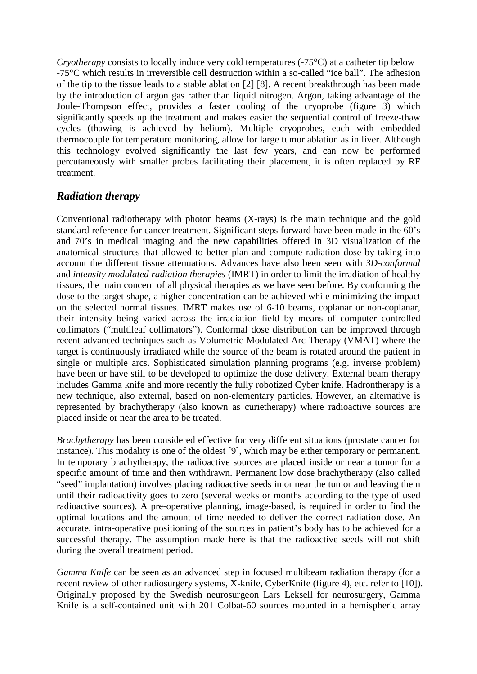*Cryotherapy* consists to locally induce very cold temperatures (-75<sup>o</sup>C) at a catheter tip below -75°C which results in irreversible cell destruction within a so-called "ice ball". The adhesion of the tip to the tissue leads to a stable ablation [2] [8]. A recent breakthrough has been made by the introduction of argon gas rather than liquid nitrogen. Argon, taking advantage of the Joule-Thompson effect, provides a faster cooling of the cryoprobe (figure 3) which significantly speeds up the treatment and makes easier the sequential control of freeze-thaw cycles (thawing is achieved by helium). Multiple cryoprobes, each with embedded thermocouple for temperature monitoring, allow for large tumor ablation as in liver. Although this technology evolved significantly the last few years, and can now be performed percutaneously with smaller probes facilitating their placement, it is often replaced by RF treatment.

### *Radiation therapy*

Conventional radiotherapy with photon beams (X-rays) is the main technique and the gold standard reference for cancer treatment. Significant steps forward have been made in the 60's and 70's in medical imaging and the new capabilities offered in 3D visualization of the anatomical structures that allowed to better plan and compute radiation dose by taking into account the different tissue attenuations. Advances have also been seen with *3D-conformal* and *intensity modulated radiation therapies* (IMRT) in order to limit the irradiation of healthy tissues, the main concern of all physical therapies as we have seen before. By conforming the dose to the target shape, a higher concentration can be achieved while minimizing the impact on the selected normal tissues. IMRT makes use of 6-10 beams, coplanar or non-coplanar, their intensity being varied across the irradiation field by means of computer controlled collimators ("multileaf collimators"). Conformal dose distribution can be improved through recent advanced techniques such as Volumetric Modulated Arc Therapy (VMAT) where the target is continuously irradiated while the source of the beam is rotated around the patient in single or multiple arcs. Sophisticated simulation planning programs (e.g. inverse problem) have been or have still to be developed to optimize the dose delivery. External beam therapy includes Gamma knife and more recently the fully robotized Cyber knife. Hadrontherapy is a new technique, also external, based on non-elementary particles. However, an alternative is represented by brachytherapy (also known as curietherapy) where radioactive sources are placed inside or near the area to be treated.

*Brachytherapy* has been considered effective for very different situations (prostate cancer for instance). This modality is one of the oldest [9], which may be either temporary or permanent. In temporary brachytherapy, the radioactive sources are placed inside or near a tumor for a specific amount of time and then withdrawn. Permanent low dose brachytherapy (also called "seed" implantation) involves placing radioactive seeds in or near the tumor and leaving them until their radioactivity goes to zero (several weeks or months according to the type of used radioactive sources). A pre-operative planning, image-based, is required in order to find the optimal locations and the amount of time needed to deliver the correct radiation dose. An accurate, intra-operative positioning of the sources in patient's body has to be achieved for a successful therapy. The assumption made here is that the radioactive seeds will not shift during the overall treatment period.

*Gamma Knife* can be seen as an advanced step in focused multibeam radiation therapy (for a recent review of other radiosurgery systems, X-knife, CyberKnife (figure 4), etc. refer to [10]). Originally proposed by the Swedish neurosurgeon Lars Leksell for neurosurgery, Gamma Knife is a self-contained unit with 201 Colbat-60 sources mounted in a hemispheric array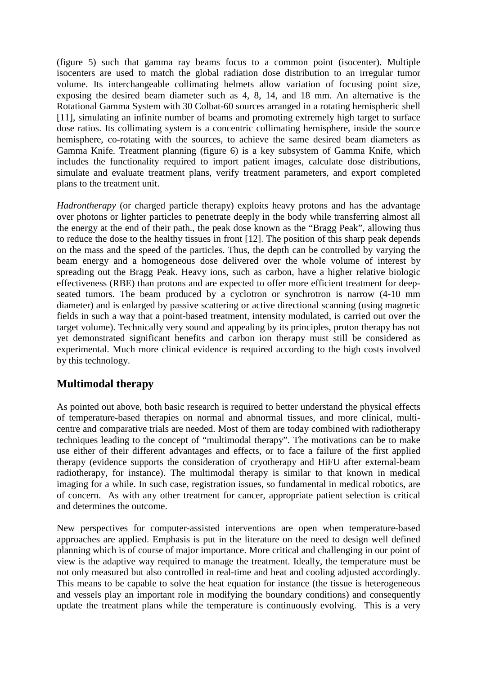(figure 5) such that gamma ray beams focus to a common point (isocenter). Multiple isocenters are used to match the global radiation dose distribution to an irregular tumor volume. Its interchangeable collimating helmets allow variation of focusing point size, exposing the desired beam diameter such as 4, 8, 14, and 18 mm. An alternative is the Rotational Gamma System with 30 Colbat-60 sources arranged in a rotating hemispheric shell [11], simulating an infinite number of beams and promoting extremely high target to surface dose ratios. Its collimating system is a concentric collimating hemisphere, inside the source hemisphere, co-rotating with the sources, to achieve the same desired beam diameters as Gamma Knife. Treatment planning (figure 6) is a key subsystem of Gamma Knife, which includes the functionality required to import patient images, calculate dose distributions, simulate and evaluate treatment plans, verify treatment parameters, and export completed plans to the treatment unit.

*Hadrontherapy* (or charged particle therapy) exploits heavy protons and has the advantage over photons or lighter particles to penetrate deeply in the body while transferring almost all the energy at the end of their path., the peak dose known as the "Bragg Peak", allowing thus to reduce the dose to the healthy tissues in front [12]. The position of this sharp peak depends on the mass and the speed of the particles. Thus, the depth can be controlled by varying the beam energy and a homogeneous dose delivered over the whole volume of interest by spreading out the Bragg Peak. Heavy ions, such as carbon, have a higher relative biologic effectiveness (RBE) than protons and are expected to offer more efficient treatment for deepseated tumors. The beam produced by a cyclotron or synchrotron is narrow (4-10 mm diameter) and is enlarged by passive scattering or active directional scanning (using magnetic fields in such a way that a point-based treatment, intensity modulated, is carried out over the target volume). Technically very sound and appealing by its principles, proton therapy has not yet demonstrated significant benefits and carbon ion therapy must still be considered as experimental. Much more clinical evidence is required according to the high costs involved by this technology.

# **Multimodal therapy**

As pointed out above, both basic research is required to better understand the physical effects of temperature-based therapies on normal and abnormal tissues, and more clinical, multicentre and comparative trials are needed. Most of them are today combined with radiotherapy techniques leading to the concept of "multimodal therapy". The motivations can be to make use either of their different advantages and effects, or to face a failure of the first applied therapy (evidence supports the consideration of cryotherapy and HiFU after external-beam radiotherapy, for instance). The multimodal therapy is similar to that known in medical imaging for a while. In such case, registration issues, so fundamental in medical robotics, are of concern. As with any other treatment for cancer, appropriate patient selection is critical and determines the outcome.

New perspectives for computer-assisted interventions are open when temperature-based approaches are applied. Emphasis is put in the literature on the need to design well defined planning which is of course of major importance. More critical and challenging in our point of view is the adaptive way required to manage the treatment. Ideally, the temperature must be not only measured but also controlled in real-time and heat and cooling adjusted accordingly. This means to be capable to solve the heat equation for instance (the tissue is heterogeneous and vessels play an important role in modifying the boundary conditions) and consequently update the treatment plans while the temperature is continuously evolving. This is a very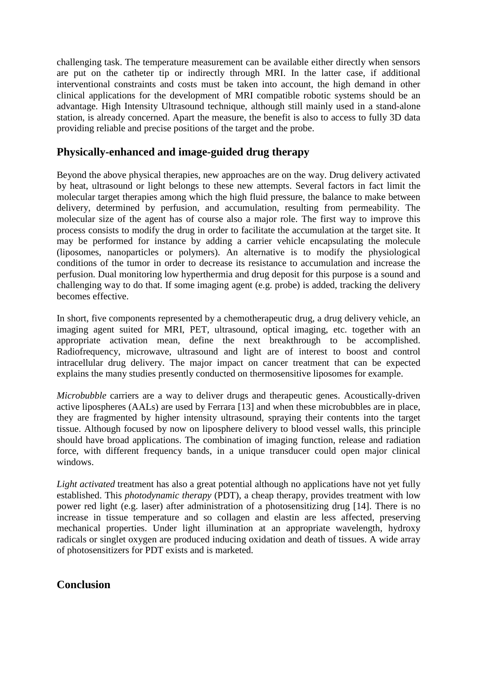challenging task. The temperature measurement can be available either directly when sensors are put on the catheter tip or indirectly through MRI. In the latter case, if additional interventional constraints and costs must be taken into account, the high demand in other clinical applications for the development of MRI compatible robotic systems should be an advantage. High Intensity Ultrasound technique, although still mainly used in a stand-alone station, is already concerned. Apart the measure, the benefit is also to access to fully 3D data providing reliable and precise positions of the target and the probe.

#### **Physically-enhanced and image-guided drug therapy**

Beyond the above physical therapies, new approaches are on the way. Drug delivery activated by heat, ultrasound or light belongs to these new attempts. Several factors in fact limit the molecular target therapies among which the high fluid pressure, the balance to make between delivery, determined by perfusion, and accumulation, resulting from permeability. The molecular size of the agent has of course also a major role. The first way to improve this process consists to modify the drug in order to facilitate the accumulation at the target site. It may be performed for instance by adding a carrier vehicle encapsulating the molecule (liposomes, nanoparticles or polymers). An alternative is to modify the physiological conditions of the tumor in order to decrease its resistance to accumulation and increase the perfusion. Dual monitoring low hyperthermia and drug deposit for this purpose is a sound and challenging way to do that. If some imaging agent (e.g. probe) is added, tracking the delivery becomes effective.

In short, five components represented by a chemotherapeutic drug, a drug delivery vehicle, an imaging agent suited for MRI, PET, ultrasound, optical imaging, etc. together with an appropriate activation mean, define the next breakthrough to be accomplished. Radiofrequency, microwave, ultrasound and light are of interest to boost and control intracellular drug delivery. The major impact on cancer treatment that can be expected explains the many studies presently conducted on thermosensitive liposomes for example.

*Microbubble* carriers are a way to deliver drugs and therapeutic genes. Acoustically-driven active lipospheres (AALs) are used by Ferrara [13] and when these microbubbles are in place, they are fragmented by higher intensity ultrasound, spraying their contents into the target tissue. Although focused by now on liposphere delivery to blood vessel walls, this principle should have broad applications. The combination of imaging function, release and radiation force, with different frequency bands, in a unique transducer could open major clinical windows.

*Light activated* treatment has also a great potential although no applications have not yet fully established. This *photodynamic therapy* (PDT), a cheap therapy, provides treatment with low power red light (e.g. laser) after administration of a photosensitizing drug [14]. There is no increase in tissue temperature and so collagen and elastin are less affected, preserving mechanical properties. Under light illumination at an appropriate wavelength, hydroxy radicals or singlet oxygen are produced inducing oxidation and death of tissues. A wide array of photosensitizers for PDT exists and is marketed.

# **Conclusion**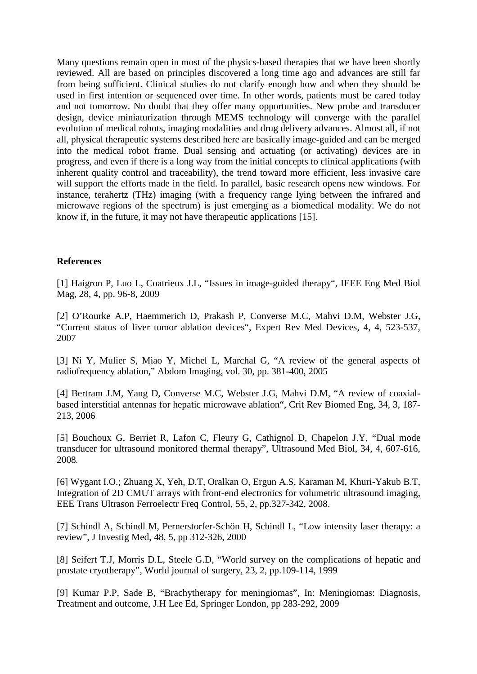Many questions remain open in most of the physics-based therapies that we have been shortly reviewed. All are based on principles discovered a long time ago and advances are still far from being sufficient. Clinical studies do not clarify enough how and when they should be used in first intention or sequenced over time. In other words, patients must be cared today and not tomorrow. No doubt that they offer many opportunities. New probe and transducer design, device miniaturization through MEMS technology will converge with the parallel evolution of medical robots, imaging modalities and drug delivery advances. Almost all, if not all, physical therapeutic systems described here are basically image-guided and can be merged into the medical robot frame. Dual sensing and actuating (or activating) devices are in progress, and even if there is a long way from the initial concepts to clinical applications (with inherent quality control and traceability), the trend toward more efficient, less invasive care will support the efforts made in the field. In parallel, basic research opens new windows. For instance, terahertz (THz) imaging (with a frequency range lying between the infrared and microwave regions of the spectrum) is just emerging as a biomedical modality. We do not know if, in the future, it may not have therapeutic applications [15].

#### **References**

[1] Haigron P, Luo L, Coatrieux J.L, "Issues in image-guided therapy", IEEE Eng Med Biol Mag, 28, 4, pp. 96-8, 2009

[2] O'Rourke A.P, Haemmerich D, Prakash P, Converse M.C, Mahvi D.M, Webster J.G, "Current status of liver tumor ablation devices", Expert Rev Med Devices, 4, 4, 523-537, 2007

[3] Ni Y, Mulier S, Miao Y, Michel L, Marchal G, "A review of the general aspects of radiofrequency ablation," Abdom Imaging, vol. 30, pp. 381-400, 2005

[4] Bertram J.M, Yang D, Converse M.C, Webster J.G, Mahvi D.M, "A review of coaxialbased interstitial antennas for hepatic microwave ablation", Crit Rev Biomed Eng, 34, 3, 187- 213, 2006

[5] Bouchoux G, Berriet R, Lafon C, Fleury G, Cathignol D, Chapelon J.Y, "Dual mode transducer for ultrasound monitored thermal therapy", Ultrasound Med Biol, 34, 4, 607-616, 2008.

[6] Wygant I.O.; Zhuang X, Yeh, D.T, Oralkan O, Ergun A.S, Karaman M, Khuri-Yakub B.T, Integration of 2D CMUT arrays with front-end electronics for volumetric ultrasound imaging, EEE Trans Ultrason Ferroelectr Freq Control, 55, 2, pp.327-342, 2008.

[7] Schindl A, Schindl M, Pernerstorfer-Schön H, Schindl L, "Low intensity laser therapy: a review", J Investig Med, 48, 5, pp 312-326, 2000

[8] Seifert T.J, Morris D.L, Steele G.D, "World survey on the complications of hepatic and prostate cryotherapy", World journal of surgery, 23, 2, pp.109-114, 1999

[9] Kumar P.P, Sade B, "Brachytherapy for meningiomas", In: Meningiomas: Diagnosis, Treatment and outcome, J.H Lee Ed, Springer London, pp 283-292, 2009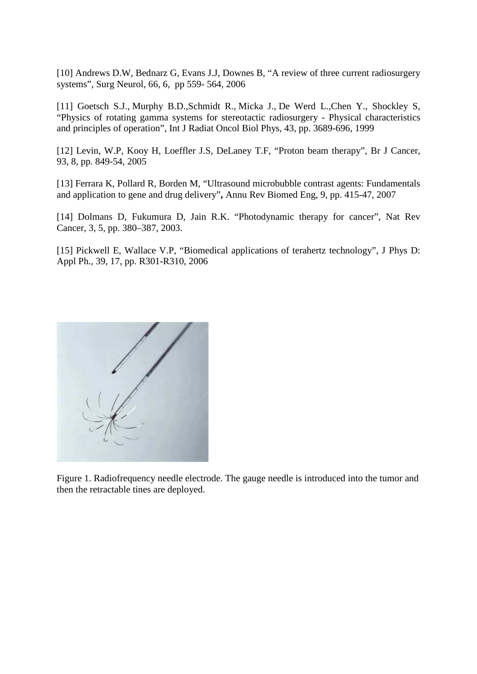[10] Andrews D.W, Bednarz G, Evans J.J, Downes B, "A review of three current radiosurgery systems", Surg Neurol, 66, 6, pp 559- 564, 2006

[11] Goetsch S.J., Murphy B.D.,Schmidt R., Micka J., De Werd L.,Chen Y., Shockley S, "Physics of rotating gamma systems for stereotactic radiosurgery - Physical characteristics and principles of operation", Int J Radiat Oncol Biol Phys, 43, pp. 3689-696, 1999

[12] Levin, W.P, Kooy H, Loeffler J.S, DeLaney T.F, "Proton beam therapy", Br J Cancer, 93, 8, pp. 849-54, 2005

[13] Ferrara K, Pollard R, Borden M, "Ultrasound microbubble contrast agents: Fundamentals and application to gene and drug delivery"**,** Annu Rev Biomed Eng, 9, pp. 415-47, 2007

[14] Dolmans D, Fukumura D, Jain R.K. "Photodynamic therapy for cancer", Nat Rev Cancer, 3, 5, pp. 380–387, 2003.

[15] Pickwell E, Wallace V.P, "Biomedical applications of terahertz technology", J Phys D: Appl Ph*.*, 39, 17, pp. R301-R310, 2006



Figure 1. Radiofrequency needle electrode. The gauge needle is introduced into the tumor and then the retractable tines are deployed.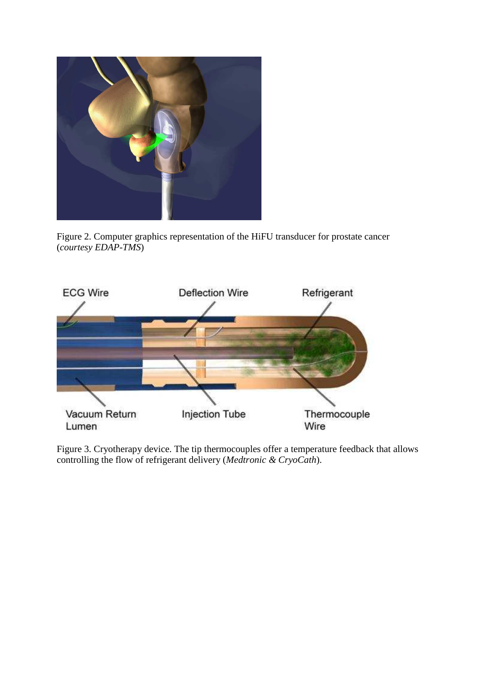

Figure 2. Computer graphics representation of the HiFU transducer for prostate cancer (*courtesy EDAP-TMS*)



Figure 3. Cryotherapy device. The tip thermocouples offer a temperature feedback that allows controlling the flow of refrigerant delivery (*Medtronic & CryoCath*).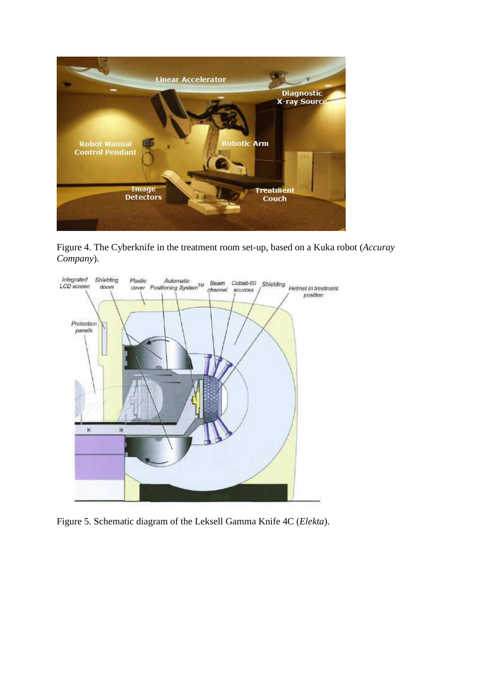

Figure 4. The Cyberknife in the treatment room set-up, based on a Kuka robot (*Accuray Company*).



Figure 5. Schematic diagram of the Leksell Gamma Knife 4C (*Elekta*).